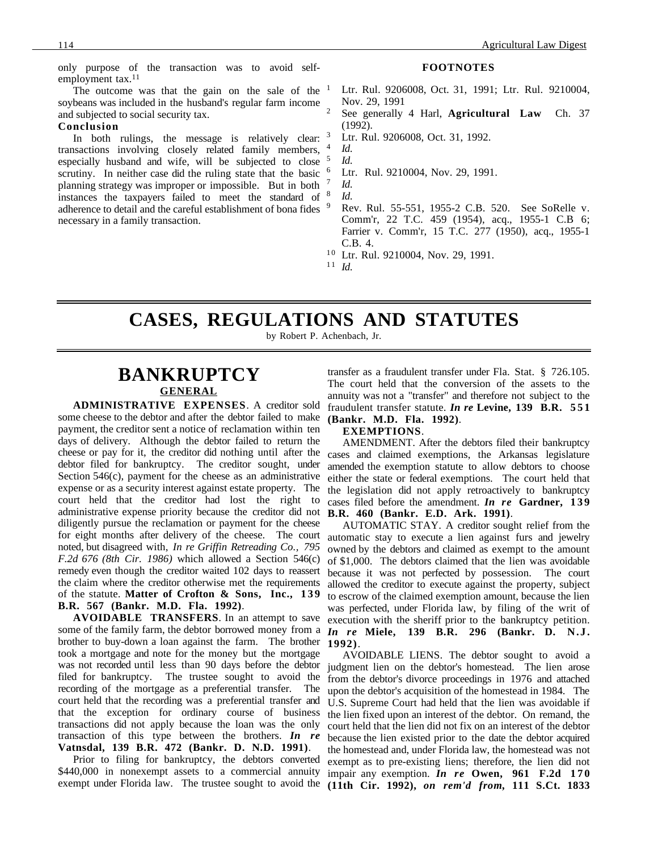only purpose of the transaction was to avoid selfemployment tax.<sup>11</sup>

The outcome was that the gain on the sale of the  $1$ soybeans was included in the husband's regular farm income and subjected to social security tax.

#### **Conclusion**

In both rulings, the message is relatively clear:  $3$ transactions involving closely related family members, especially husband and wife, will be subjected to close <sup>5</sup> scrutiny. In neither case did the ruling state that the basic <sup>6</sup> planning strategy was improper or impossible. But in both instances the taxpayers failed to meet the standard of <sup>8</sup> adherence to detail and the careful establishment of bona fides <sup>9</sup> necessary in a family transaction.

#### **FOOTNOTES**

- Ltr. Rul. 9206008, Oct. 31, 1991; Ltr. Rul. 9210004, Nov. 29, 1991
- <sup>2</sup> See generally 4 Harl, **Agricultural Law** Ch. 37 (1992).
- Ltr. Rul. 9206008, Oct. 31, 1992.

<sup>4</sup> *Id*. <sup>5</sup> *Id*.

Ltr. Rul. 9210004, Nov. 29, 1991.

<sup>7</sup> *Id*. <sup>8</sup> *Id*.

- <sup>9</sup> Rev. Rul. 55-551, 1955-2 C.B. 520. See SoRelle v. Comm'r, 22 T.C. 459 (1954), acq., 1955-1 C.B 6; Farrier v. Comm'r, 15 T.C. 277 (1950), acq., 1955-1 C.B. 4.
- <sup>10</sup> Ltr. Rul. 9210004, Nov. 29, 1991.
- $11$  *Id.*

### **CASES, REGULATIONS AND STATUTES**

by Robert P. Achenbach, Jr.

# **BANKRUPTCY GENERAL**

**ADMINISTRATIVE EXPENSES**. A creditor sold some cheese to the debtor and after the debtor failed to make payment, the creditor sent a notice of reclamation within ten days of delivery. Although the debtor failed to return the cheese or pay for it, the creditor did nothing until after the debtor filed for bankruptcy. The creditor sought, under Section 546(c), payment for the cheese as an administrative expense or as a security interest against estate property. The court held that the creditor had lost the right to administrative expense priority because the creditor did not diligently pursue the reclamation or payment for the cheese for eight months after delivery of the cheese. The court noted, but disagreed with, *In re Griffin Retreading Co., 795 F.2d 676 (8th Cir. 1986)* which allowed a Section 546(c) remedy even though the creditor waited 102 days to reassert the claim where the creditor otherwise met the requirements of the statute. **Matter of Crofton & Sons, Inc., 1 3 9 B.R. 567 (Bankr. M.D. Fla. 1992)**.

**AVOIDABLE TRANSFERS**. In an attempt to save some of the family farm, the debtor borrowed money from a *In re* **Miele, 139 B.R. 296 (Bankr. D. N.J.** brother to buy-down a loan against the farm. The brother took a mortgage and note for the money but the mortgage was not recorded until less than 90 days before the debtor filed for bankruptcy. The trustee sought to avoid the recording of the mortgage as a preferential transfer. The court held that the recording was a preferential transfer and that the exception for ordinary course of business transactions did not apply because the loan was the only transaction of this type between the brothers. *In re* **Vatnsdal, 139 B.R. 472 (Bankr. D. N.D. 1991)**.

Prior to filing for bankruptcy, the debtors converted

transfer as a fraudulent transfer under Fla. Stat. § 726.105. The court held that the conversion of the assets to the annuity was not a "transfer" and therefore not subject to the fraudulent transfer statute. *In re* **Levine, 139 B.R. 551 (Bankr. M.D. Fla. 1992)**.

#### **EXEMPTIONS**.

AMENDMENT. After the debtors filed their bankruptcy cases and claimed exemptions, the Arkansas legislature amended the exemption statute to allow debtors to choose either the state or federal exemptions. The court held that the legislation did not apply retroactively to bankruptcy cases filed before the amendment. *In re* Gardner, 139 **B.R. 460 (Bankr. E.D. Ark. 1991)**.

AUTOMATIC STAY. A creditor sought relief from the automatic stay to execute a lien against furs and jewelry owned by the debtors and claimed as exempt to the amount of \$1,000. The debtors claimed that the lien was avoidable because it was not perfected by possession. The court allowed the creditor to execute against the property, subject to escrow of the claimed exemption amount, because the lien was perfected, under Florida law, by filing of the writ of execution with the sheriff prior to the bankruptcy petition. **1992)**.

\$440,000 in nonexempt assets to a commercial annuity impair any exemption. *In re* **Owen, 961 F.2d 170** exempt under Florida law. The trustee sought to avoid the **(11th Cir. 1992),** *on rem'd from,* **111 S.Ct. 1833**AVOIDABLE LIENS. The debtor sought to avoid a judgment lien on the debtor's homestead. The lien arose from the debtor's divorce proceedings in 1976 and attached upon the debtor's acquisition of the homestead in 1984. The U.S. Supreme Court had held that the lien was avoidable if the lien fixed upon an interest of the debtor. On remand, the court held that the lien did not fix on an interest of the debtor because the lien existed prior to the date the debtor acquired the homestead and, under Florida law, the homestead was not exempt as to pre-existing liens; therefore, the lien did not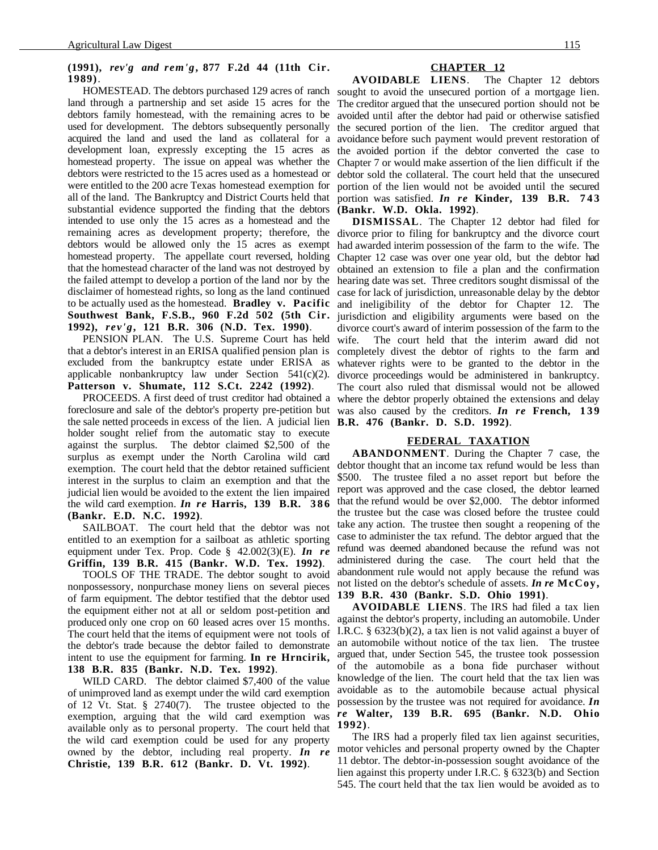#### **(1991),** *rev'g and rem'g***, 877 F.2d 44 (11th Cir. 1989)**.

land through a partnership and set aside 15 acres for the The creditor argued that the unsecured portion should not be debtors family homestead, with the remaining acres to be avoided until after the debtor had paid or otherwise satisfied used for development. The debtors subsequently personally the secured portion of the lien. The creditor argued that acquired the land and used the land as collateral for a avoidance before such payment would prevent restoration of development loan, expressly excepting the 15 acres as the avoided portion if the debtor converted the case to homestead property. The issue on appeal was whether the debtors were restricted to the 15 acres used as a homestead or were entitled to the 200 acre Texas homestead exemption for all of the land. The Bankruptcy and District Courts held that substantial evidence supported the finding that the debtors intended to use only the 15 acres as a homestead and the remaining acres as development property; therefore, the debtors would be allowed only the 15 acres as exempt homestead property. The appellate court reversed, holding that the homestead character of the land was not destroyed by the failed attempt to develop a portion of the land nor by the disclaimer of homestead rights, so long as the land continued to be actually used as the homestead. **Bradley v. Pacific Southwest Bank, F.S.B., 960 F.2d 502 (5th Cir. 1992),** *rev'g***, 121 B.R. 306 (N.D. Tex. 1990)**.

PENSION PLAN. The U.S. Supreme Court has held that a debtor's interest in an ERISA qualified pension plan is excluded from the bankruptcy estate under ERISA as applicable nonbankruptcy law under Section 541(c)(2). **Patterson v. Shumate, 112 S.Ct. 2242 (1992)**.

foreclosure and sale of the debtor's property pre-petition but was also caused by the creditors. *In re* **French, 139** the sale netted proceeds in excess of the lien. A judicial lien **B.R. 476 (Bankr. D. S.D. 1992)**. holder sought relief from the automatic stay to execute against the surplus. The debtor claimed \$2,500 of the surplus as exempt under the North Carolina wild card exemption. The court held that the debtor retained sufficient interest in the surplus to claim an exemption and that the judicial lien would be avoided to the extent the lien impaired the wild card exemption. *In re* **Harris, 139 B.R. 386 (Bankr. E.D. N.C. 1992)**.

SAILBOAT. The court held that the debtor was not entitled to an exemption for a sailboat as athletic sporting equipment under Tex. Prop. Code § 42.002(3)(E). *In re* **Griffin, 139 B.R. 415 (Bankr. W.D. Tex. 1992)**.

TOOLS OF THE TRADE. The debtor sought to avoid nonpossessory, nonpurchase money liens on several pieces of farm equipment. The debtor testified that the debtor used the equipment either not at all or seldom post-petition and produced only one crop on 60 leased acres over 15 months. The court held that the items of equipment were not tools of the debtor's trade because the debtor failed to demonstrate intent to use the equipment for farming. **In re Hrncirik, 138 B.R. 835 (Bankr. N.D. Tex. 1992)**.

WILD CARD. The debtor claimed \$7,400 of the value of unimproved land as exempt under the wild card exemption of 12 Vt. Stat. § 2740(7). The trustee objected to the exemption, arguing that the wild card exemption was *re* **Walter, 139 B.R. 695 (Bankr. N.D. Ohio** available only as to personal property. The court held that **1992)**. the wild card exemption could be used for any property owned by the debtor, including real property. *In re* **Christie, 139 B.R. 612 (Bankr. D. Vt. 1992)**.

#### **CHAPTER 12**

HOMESTEAD. The debtors purchased 129 acres of ranch sought to avoid the unsecured portion of a mortgage lien. **AVOIDABLE LIENS**. The Chapter 12 debtors Chapter 7 or would make assertion of the lien difficult if the debtor sold the collateral. The court held that the unsecured portion of the lien would not be avoided until the secured portion was satisfied. *In re* **Kinder, 139 B.R. 743 (Bankr. W.D. Okla. 1992)**.

PROCEEDS. A first deed of trust creditor had obtained a where the debtor properly obtained the extensions and delay **DISMISSAL**. The Chapter 12 debtor had filed for divorce prior to filing for bankruptcy and the divorce court had awarded interim possession of the farm to the wife. The Chapter 12 case was over one year old, but the debtor had obtained an extension to file a plan and the confirmation hearing date was set. Three creditors sought dismissal of the case for lack of jurisdiction, unreasonable delay by the debtor and ineligibility of the debtor for Chapter 12. The jurisdiction and eligibility arguments were based on the divorce court's award of interim possession of the farm to the wife. The court held that the interim award did not completely divest the debtor of rights to the farm and whatever rights were to be granted to the debtor in the divorce proceedings would be administered in bankruptcy. The court also ruled that dismissal would not be allowed

#### **FEDERAL TAXATION**

**ABANDONMENT**. During the Chapter 7 case, the debtor thought that an income tax refund would be less than \$500. The trustee filed a no asset report but before the report was approved and the case closed, the debtor learned that the refund would be over \$2,000. The debtor informed the trustee but the case was closed before the trustee could take any action. The trustee then sought a reopening of the case to administer the tax refund. The debtor argued that the refund was deemed abandoned because the refund was not administered during the case. The court held that the abandonment rule would not apply because the refund was not listed on the debtor's schedule of assets. *In re* **McCoy, 139 B.R. 430 (Bankr. S.D. Ohio 1991)**.

**AVOIDABLE LIENS**. The IRS had filed a tax lien against the debtor's property, including an automobile. Under I.R.C. § 6323(b)(2), a tax lien is not valid against a buyer of an automobile without notice of the tax lien. The trustee argued that, under Section 545, the trustee took possession of the automobile as a bona fide purchaser without knowledge of the lien. The court held that the tax lien was avoidable as to the automobile because actual physical possession by the trustee was not required for avoidance. *In*

The IRS had a properly filed tax lien against securities, motor vehicles and personal property owned by the Chapter 11 debtor. The debtor-in-possession sought avoidance of the lien against this property under I.R.C. § 6323(b) and Section 545. The court held that the tax lien would be avoided as to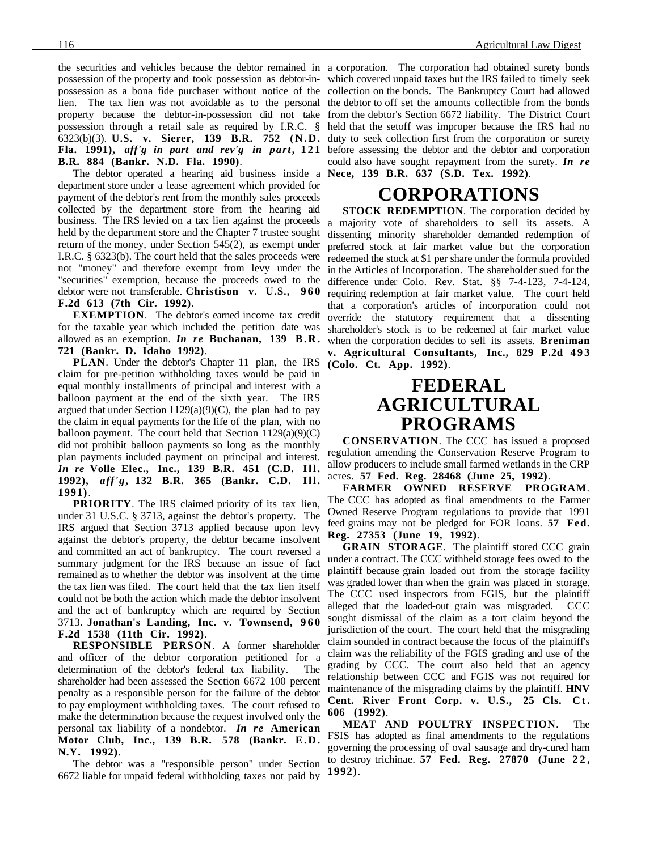possession of the property and took possession as debtor-in-which covered unpaid taxes but the IRS failed to timely seek possession as a bona fide purchaser without notice of the collection on the bonds. The Bankruptcy Court had allowed lien. The tax lien was not avoidable as to the personal the debtor to off set the amounts collectible from the bonds property because the debtor-in-possession did not take from the debtor's Section 6672 liability. The District Court possession through a retail sale as required by I.R.C. § held that the setoff was improper because the IRS had no 6323(b)(3). **U.S. v. Sierer, 139 B.R. 752 (N.D.** duty to seek collection first from the corporation or surety **Fla. 1991),** *aff'g in part and rev'g in part*, 121 before assessing the debtor and the debtor and corporation **B.R. 884 (Bankr. N.D. Fla. 1990)**.

The debtor operated a hearing aid business inside a **Nece, 139 B.R. 637 (S.D. Tex. 1992)**. department store under a lease agreement which provided for payment of the debtor's rent from the monthly sales proceeds collected by the department store from the hearing aid business. The IRS levied on a tax lien against the proceeds held by the department store and the Chapter 7 trustee sought return of the money, under Section 545(2), as exempt under I.R.C. § 6323(b). The court held that the sales proceeds were not "money" and therefore exempt from levy under the "securities" exemption, because the proceeds owed to the debtor were not transferable. **Christison v. U.S., 9 6 0 F.2d 613 (7th Cir. 1992)**.

**EXEMPTION**. The debtor's earned income tax credit for the taxable year which included the petition date was allowed as an exemption. *In re* **Buchanan, 139 B.R. 721 (Bankr. D. Idaho 1992)**.

**PLAN**. Under the debtor's Chapter 11 plan, the IRS claim for pre-petition withholding taxes would be paid in equal monthly installments of principal and interest with a balloon payment at the end of the sixth year. The IRS argued that under Section 1129(a)(9)(C), the plan had to pay the claim in equal payments for the life of the plan, with no balloon payment. The court held that Section  $1129(a)(9)(C)$ did not prohibit balloon payments so long as the monthly plan payments included payment on principal and interest. *In re* **Volle Elec., Inc., 139 B.R. 451 (C.D. Ill. 1992),** *aff'g***, 132 B.R. 365 (Bankr. C.D. Ill. 1991)**.

**PRIORITY**. The IRS claimed priority of its tax lien, under 31 U.S.C. § 3713, against the debtor's property. The IRS argued that Section 3713 applied because upon levy against the debtor's property, the debtor became insolvent and committed an act of bankruptcy. The court reversed a summary judgment for the IRS because an issue of fact remained as to whether the debtor was insolvent at the time the tax lien was filed. The court held that the tax lien itself could not be both the action which made the debtor insolvent and the act of bankruptcy which are required by Section 3713. **Jonathan's Landing, Inc. v. Townsend, 960 F.2d 1538 (11th Cir. 1992)**.

**RESPONSIBLE PERSON**. A former shareholder and officer of the debtor corporation petitioned for a determination of the debtor's federal tax liability. The shareholder had been assessed the Section 6672 100 percent penalty as a responsible person for the failure of the debtor to pay employment withholding taxes. The court refused to make the determination because the request involved only the personal tax liability of a nondebtor. *In re* **American Motor Club, Inc., 139 B.R. 578 (Bankr. E.D. N.Y. 1992)**.

The debtor was a "responsible person" under Section 6672 liable for unpaid federal withholding taxes not paid by

the securities and vehicles because the debtor remained in a corporation. The corporation had obtained surety bonds could also have sought repayment from the surety. *In re*

## **CORPORATIONS**

**STOCK REDEMPTION**. The corporation decided by a majority vote of shareholders to sell its assets. A dissenting minority shareholder demanded redemption of preferred stock at fair market value but the corporation redeemed the stock at \$1 per share under the formula provided in the Articles of Incorporation. The shareholder sued for the difference under Colo. Rev. Stat. §§ 7-4-123, 7-4-124, requiring redemption at fair market value. The court held that a corporation's articles of incorporation could not override the statutory requirement that a dissenting shareholder's stock is to be redeemed at fair market value when the corporation decides to sell its assets. **Breniman** v. Agricultural Consultants, Inc., 829 P.2d 493 **(Colo. Ct. App. 1992)**.

### **FEDERAL AGRICULTURAL PROGRAMS**

**CONSERVATION**. The CCC has issued a proposed regulation amending the Conservation Reserve Program to allow producers to include small farmed wetlands in the CRP acres. **57 Fed. Reg. 28468 (June 25, 1992)**.

**FARMER OWNED RESERVE PROGRAM**. The CCC has adopted as final amendments to the Farmer Owned Reserve Program regulations to provide that 1991 feed grains may not be pledged for FOR loans. **57 Fed. Reg. 27353 (June 19, 1992)**.

**GRAIN STORAGE**. The plaintiff stored CCC grain under a contract. The CCC withheld storage fees owed to the plaintiff because grain loaded out from the storage facility was graded lower than when the grain was placed in storage. The CCC used inspectors from FGIS, but the plaintiff alleged that the loaded-out grain was misgraded. CCC sought dismissal of the claim as a tort claim beyond the jurisdiction of the court. The court held that the misgrading claim sounded in contract because the focus of the plaintiff's claim was the reliability of the FGIS grading and use of the grading by CCC. The court also held that an agency relationship between CCC and FGIS was not required for maintenance of the misgrading claims by the plaintiff. **HNV Cent. River Front Corp. v. U.S., 25 Cls. Ct. 606 (1992)**.

**MEAT AND POULTRY INSPECTION**. The FSIS has adopted as final amendments to the regulations governing the processing of oval sausage and dry-cured ham to destroy trichinae. **57 Fed. Reg. 27870 (June 2 2 , 1992)**.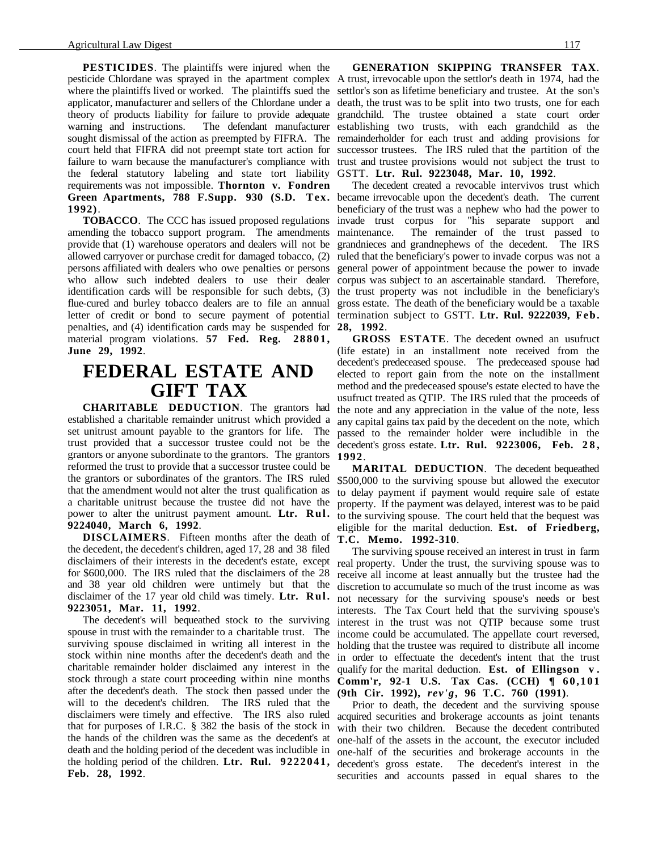**PESTICIDES**. The plaintiffs were injured when the pesticide Chlordane was sprayed in the apartment complex A trust, irrevocable upon the settlor's death in 1974, had the where the plaintiffs lived or worked. The plaintiffs sued the settlor's son as lifetime beneficiary and trustee. At the son's applicator, manufacturer and sellers of the Chlordane under a death, the trust was to be split into two trusts, one for each theory of products liability for failure to provide adequate grandchild. The trustee obtained a state court order warning and instructions. The defendant manufacturer establishing two trusts, with each grandchild as the sought dismissal of the action as preempted by FIFRA. The remainderholder for each trust and adding provisions for court held that FIFRA did not preempt state tort action for successor trustees. The IRS ruled that the partition of the failure to warn because the manufacturer's compliance with trust and trustee provisions would not subject the trust to the federal statutory labeling and state tort liability GSTT. **Ltr. Rul. 9223048, Mar. 10, 1992**. requirements was not impossible. **Thornton v. Fondren** Green Apartments, 788 F.Supp. 930 (S.D. Tex. became irrevocable upon the decedent's death. The current **1992)**.

**TOBACCO**. The CCC has issued proposed regulations amending the tobacco support program. The amendments provide that (1) warehouse operators and dealers will not be allowed carryover or purchase credit for damaged tobacco, (2) ruled that the beneficiary's power to invade corpus was not a persons affiliated with dealers who owe penalties or persons general power of appointment because the power to invade who allow such indebted dealers to use their dealer corpus was subject to an ascertainable standard. Therefore, identification cards will be responsible for such debts, (3) the trust property was not includible in the beneficiary's flue-cured and burley tobacco dealers are to file an annual gross estate. The death of the beneficiary would be a taxable letter of credit or bond to secure payment of potential termination subject to GSTT. Ltr. Rul. 9222039, Feb. penalties, and (4) identification cards may be suspended for material program violations. **57 Fed. Reg. 28801, June 29, 1992**.

### **FEDERAL ESTATE AND GIFT TAX**

**CHARITABLE DEDUCTION**. The grantors had established a charitable remainder unitrust which provided a set unitrust amount payable to the grantors for life. The trust provided that a successor trustee could not be the decedent's gross estate. **Ltr. Rul. 9223006, Feb. 2 8 ,** grantors or anyone subordinate to the grantors. The grantors **1992**. reformed the trust to provide that a successor trustee could be the grantors or subordinates of the grantors. The IRS ruled that the amendment would not alter the trust qualification as a charitable unitrust because the trustee did not have the power to alter the unitrust payment amount. **Ltr. Rul. 9224040, March 6, 1992**.

**DISCLAIMERS**. Fifteen months after the death of the decedent, the decedent's children, aged 17, 28 and 38 filed disclaimers of their interests in the decedent's estate, except for \$600,000. The IRS ruled that the disclaimers of the 28 and 38 year old children were untimely but that the disclaimer of the 17 year old child was timely. **Ltr. Rul. 9223051, Mar. 11, 1992**.

The decedent's will bequeathed stock to the surviving spouse in trust with the remainder to a charitable trust. The surviving spouse disclaimed in writing all interest in the stock within nine months after the decedent's death and the charitable remainder holder disclaimed any interest in the stock through a state court proceeding within nine months after the decedent's death. The stock then passed under the will to the decedent's children. The IRS ruled that the disclaimers were timely and effective. The IRS also ruled that for purposes of I.R.C. § 382 the basis of the stock in the hands of the children was the same as the decedent's at death and the holding period of the decedent was includible in one-half of the securities and brokerage accounts in the the holding period of the children. **Ltr. Rul. 9222041,** decedent's gross estate. The decedent's interest in the **Feb. 28, 1992**.

**GENERATION SKIPPING TRANSFER TAX**.

The decedent created a revocable intervivos trust which beneficiary of the trust was a nephew who had the power to invade trust corpus for "his separate support and maintenance. The remainder of the trust passed to grandnieces and grandnephews of the decedent. The IRS **28, 1992**.

**GROSS ESTATE**. The decedent owned an usufruct (life estate) in an installment note received from the decedent's predeceased spouse. The predeceased spouse had elected to report gain from the note on the installment method and the predeceased spouse's estate elected to have the usufruct treated as QTIP. The IRS ruled that the proceeds of the note and any appreciation in the value of the note, less any capital gains tax paid by the decedent on the note, which passed to the remainder holder were includible in the

**MARITAL DEDUCTION**. The decedent bequeathed \$500,000 to the surviving spouse but allowed the executor to delay payment if payment would require sale of estate property. If the payment was delayed, interest was to be paid to the surviving spouse. The court held that the bequest was eligible for the marital deduction. **Est. of Friedberg, T.C. Memo. 1992-310**.

The surviving spouse received an interest in trust in farm real property. Under the trust, the surviving spouse was to receive all income at least annually but the trustee had the discretion to accumulate so much of the trust income as was not necessary for the surviving spouse's needs or best interests. The Tax Court held that the surviving spouse's interest in the trust was not QTIP because some trust income could be accumulated. The appellate court reversed, holding that the trustee was required to distribute all income in order to effectuate the decedent's intent that the trust qualify for the marital deduction. **Est. of Ellingson v . Comm'r, 92-1 U.S. Tax Cas. (CCH) ¶ 60,101 (9th Cir. 1992),** *rev'g***, 96 T.C. 760 (1991)**.

Prior to death, the decedent and the surviving spouse acquired securities and brokerage accounts as joint tenants with their two children. Because the decedent contributed one-half of the assets in the account, the executor included securities and accounts passed in equal shares to the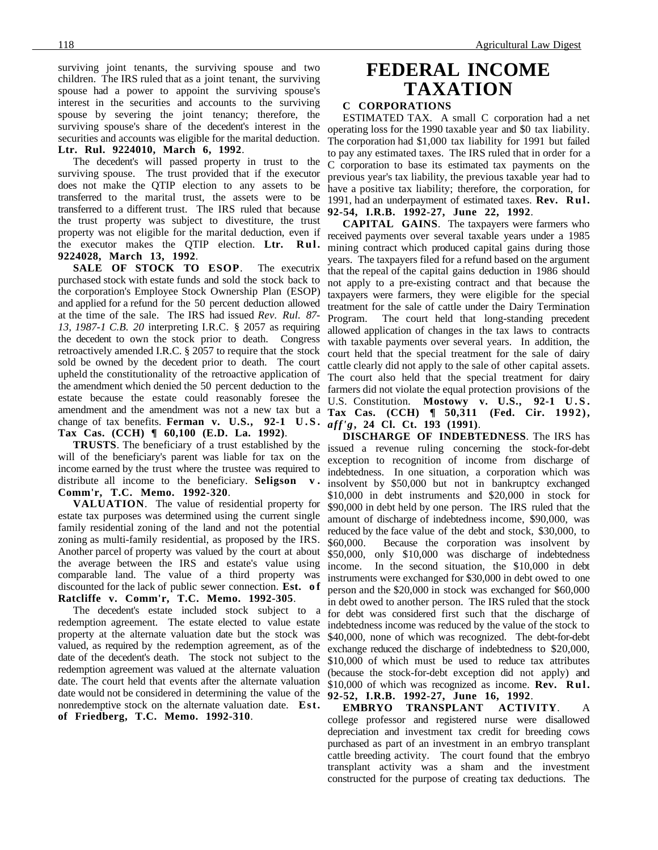surviving joint tenants, the surviving spouse and two children. The IRS ruled that as a joint tenant, the surviving spouse had a power to appoint the surviving spouse's interest in the securities and accounts to the surviving spouse by severing the joint tenancy; therefore, the surviving spouse's share of the decedent's interest in the securities and accounts was eligible for the marital deduction. **Ltr. Rul. 9224010, March 6, 1992**.

The decedent's will passed property in trust to the surviving spouse. The trust provided that if the executor does not make the QTIP election to any assets to be transferred to the marital trust, the assets were to be transferred to a different trust. The IRS ruled that because the trust property was subject to divestiture, the trust property was not eligible for the marital deduction, even if the executor makes the QTIP election. **Ltr. Rul. 9224028, March 13, 1992**.

**SALE OF STOCK TO ESOP**. The executrix purchased stock with estate funds and sold the stock back to the corporation's Employee Stock Ownership Plan (ESOP) and applied for a refund for the 50 percent deduction allowed at the time of the sale. The IRS had issued *Rev. Rul. 87- 13, 1987-1 C.B. 20* interpreting I.R.C. § 2057 as requiring the decedent to own the stock prior to death. Congress retroactively amended I.R.C. § 2057 to require that the stock sold be owned by the decedent prior to death. The court upheld the constitutionality of the retroactive application of the amendment which denied the 50 percent deduction to the estate because the estate could reasonably foresee the amendment and the amendment was not a new tax but a change of tax benefits. **Ferman v. U.S., 92-1 U.S. Tax Cas. (CCH) ¶ 60,100 (E.D. La. 1992)**.

**TRUSTS**. The beneficiary of a trust established by the will of the beneficiary's parent was liable for tax on the income earned by the trust where the trustee was required to distribute all income to the beneficiary. **Seligson v . Comm'r, T.C. Memo. 1992-320**.

**VALUATION**. The value of residential property for estate tax purposes was determined using the current single family residential zoning of the land and not the potential zoning as multi-family residential, as proposed by the IRS. Another parcel of property was valued by the court at about the average between the IRS and estate's value using comparable land. The value of a third property was discounted for the lack of public sewer connection. **Est. o f Ratcliffe v. Comm'r, T.C. Memo. 1992-305**.

The decedent's estate included stock subject to a redemption agreement. The estate elected to value estate property at the alternate valuation date but the stock was valued, as required by the redemption agreement, as of the date of the decedent's death. The stock not subject to the redemption agreement was valued at the alternate valuation date. The court held that events after the alternate valuation date would not be considered in determining the value of the **92-52, I.R.B. 1992-27, June 16, 1992**. nonredemptive stock on the alternate valuation date. **Est. of Friedberg, T.C. Memo. 1992-310**.

## **FEDERAL INCOME TAXATION**

### **C CORPORATIONS**

ESTIMATED TAX. A small C corporation had a net operating loss for the 1990 taxable year and \$0 tax liability. The corporation had \$1,000 tax liability for 1991 but failed to pay any estimated taxes. The IRS ruled that in order for a C corporation to base its estimated tax payments on the previous year's tax liability, the previous taxable year had to have a positive tax liability; therefore, the corporation, for 1991, had an underpayment of estimated taxes. **Rev. Rul. 92-54, I.R.B. 1992-27, June 22, 1992**.

**CAPITAL GAINS**. The taxpayers were farmers who received payments over several taxable years under a 1985 mining contract which produced capital gains during those years. The taxpayers filed for a refund based on the argument that the repeal of the capital gains deduction in 1986 should not apply to a pre-existing contract and that because the taxpayers were farmers, they were eligible for the special treatment for the sale of cattle under the Dairy Termination<br>Program. The court held that long-standing precedent The court held that long-standing precedent allowed application of changes in the tax laws to contracts with taxable payments over several years. In addition, the court held that the special treatment for the sale of dairy cattle clearly did not apply to the sale of other capital assets. The court also held that the special treatment for dairy farmers did not violate the equal protection provisions of the U.S. Constitution. **Mostowy v. U.S., 92-1 U.S. Tax Cas. (CCH) ¶ 50,311 (Fed. Cir. 1992),** *aff'g***, 24 Cl. Ct. 193 (1991)**.

**DISCHARGE OF INDEBTEDNESS**. The IRS has issued a revenue ruling concerning the stock-for-debt exception to recognition of income from discharge of indebtedness. In one situation, a corporation which was insolvent by \$50,000 but not in bankruptcy exchanged \$10,000 in debt instruments and \$20,000 in stock for \$90,000 in debt held by one person. The IRS ruled that the amount of discharge of indebtedness income, \$90,000, was reduced by the face value of the debt and stock, \$30,000, to \$60,000. Because the corporation was insolvent by \$50,000, only \$10,000 was discharge of indebtedness income. In the second situation, the \$10,000 in debt instruments were exchanged for \$30,000 in debt owed to one person and the \$20,000 in stock was exchanged for \$60,000 in debt owed to another person. The IRS ruled that the stock for debt was considered first such that the discharge of indebtedness income was reduced by the value of the stock to \$40,000, none of which was recognized. The debt-for-debt exchange reduced the discharge of indebtedness to \$20,000, \$10,000 of which must be used to reduce tax attributes (because the stock-for-debt exception did not apply) and \$10,000 of which was recognized as income. **Rev. Rul.**

**EMBRYO TRANSPLANT ACTIVITY**. A college professor and registered nurse were disallowed depreciation and investment tax credit for breeding cows purchased as part of an investment in an embryo transplant cattle breeding activity. The court found that the embryo transplant activity was a sham and the investment constructed for the purpose of creating tax deductions. The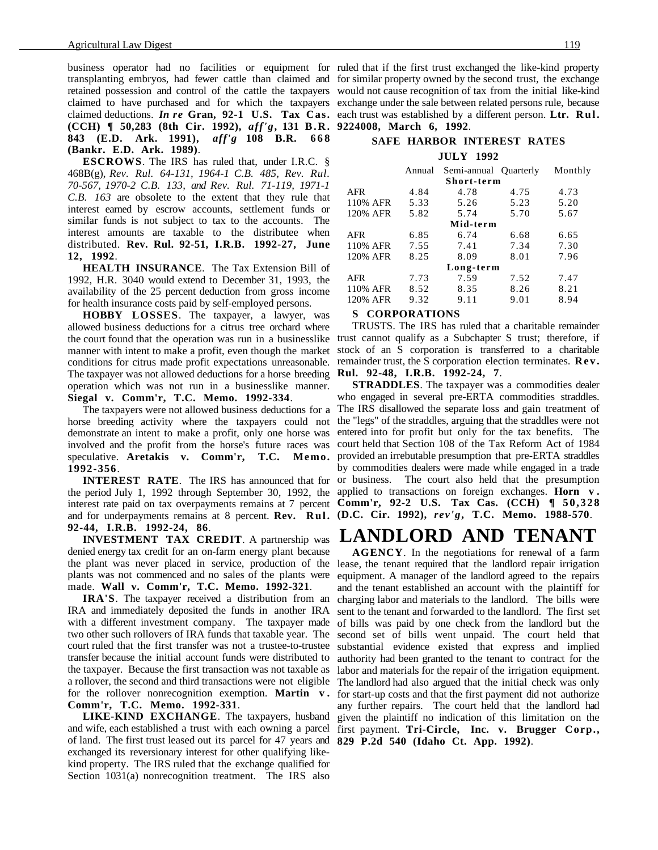business operator had no facilities or equipment for ruled that if the first trust exchanged the like-kind property transplanting embryos, had fewer cattle than claimed and for similar property owned by the second trust, the exchange retained possession and control of the cattle the taxpayers would not cause recognition of tax from the initial like-kind claimed to have purchased and for which the taxpayers exchange under the sale between related persons rule, because claimed deductions. *In re* **Gran, 92-1 U.S. Tax Cas.** each trust was established by a different person. **Ltr. Rul. (CCH) ¶ 50,283 (8th Cir. 1992),** *aff'g***, 131 B.R. 9224008, March 6, 1992**. **843 (E.D. Ark. 1991),** *aff'g* **108 B.R. 668 (Bankr. E.D. Ark. 1989)**.

**ESCROWS**. The IRS has ruled that, under I.R.C. § 468B(g), *Rev. Rul. 64-131, 1964-1 C.B. 485, Rev. Rul. 70-567, 1970-2 C.B. 133, and Rev. Rul. 71-119, 1971-1 C.B. 163* are obsolete to the extent that they rule that interest earned by escrow accounts, settlement funds or similar funds is not subject to tax to the accounts. The interest amounts are taxable to the distributee when distributed. **Rev. Rul. 92-51, I.R.B. 1992-27, June 12, 1992**.

**HEALTH INSURANCE**. The Tax Extension Bill of 1992, H.R. 3040 would extend to December 31, 1993, the availability of the 25 percent deduction from gross income for health insurance costs paid by self-employed persons.

**HOBBY LOSSES**. The taxpayer, a lawyer, was allowed business deductions for a citrus tree orchard where the court found that the operation was run in a businesslike trust cannot qualify as a Subchapter S trust; therefore, if manner with intent to make a profit, even though the market conditions for citrus made profit expectations unreasonable. The taxpayer was not allowed deductions for a horse breeding operation which was not run in a businesslike manner. **Siegal v. Comm'r, T.C. Memo. 1992-334**.

horse breeding activity where the taxpayers could not the "legs" of the straddles, arguing that the straddles were not demonstrate an intent to make a profit, only one horse was entered into for profit but only for the tax benefits. The involved and the profit from the horse's future races was court held that Section 108 of the Tax Reform Act of 1984 speculative. **Aretakis v. Comm'r, T.C. Memo. 1992-356**.

the period July 1, 1992 through September 30, 1992, the interest rate paid on tax overpayments remains at 7 percent **Comm'r, 92-2 U.S. Tax Cas. (CCH) ¶ 50,328** and for underpayments remains at 8 percent. **Rev. Rul. (D.C. Cir. 1992),** *rev'g***, T.C. Memo. 1988-570**. **92-44, I.R.B. 1992-24, 86**.

**INVESTMENT TAX CREDIT**. A partnership was denied energy tax credit for an on-farm energy plant because the plant was never placed in service, production of the lease, the tenant required that the landlord repair irrigation plants was not commenced and no sales of the plants were made. **Wall v. Comm'r, T.C. Memo. 1992-321**.

**IRA'S**. The taxpayer received a distribution from an IRA and immediately deposited the funds in another IRA with a different investment company. The taxpayer made two other such rollovers of IRA funds that taxable year. The court ruled that the first transfer was not a trustee-to-trustee transfer because the initial account funds were distributed to the taxpayer. Because the first transaction was not taxable as a rollover, the second and third transactions were not eligible The landlord had also argued that the initial check was only for the rollover nonrecognition exemption. **Martin v . Comm'r, T.C. Memo. 1992-331**.

and wife, each established a trust with each owning a parcel first payment. **Tri-Circle, Inc. v. Brugger Corp.,** of land. The first trust leased out its parcel for 47 years and **829 P.2d 540 (Idaho Ct. App. 1992)**.exchanged its reversionary interest for other qualifying likekind property. The IRS ruled that the exchange qualified for Section 1031(a) nonrecognition treatment. The IRS also

### **SAFE HARBOR INTEREST RATES JULY 1992**

|            | Annual | Semi-annual Quarterly |      | Monthly |
|------------|--------|-----------------------|------|---------|
|            |        | Short-term            |      |         |
| <b>AFR</b> | 4.84   | 4.78                  | 4.75 | 4.73    |
| 110% AFR   | 5.33   | 5.26                  | 5.23 | 5.20    |
| 120% AFR   | 5.82   | 5.74                  | 5.70 | 5.67    |
|            |        | Mid-term              |      |         |
| AFR        | 6.85   | 6.74                  | 6.68 | 6.65    |
| 110% AFR   | 7.55   | 7.41                  | 7.34 | 7.30    |
| 120% AFR   | 8.25   | 8.09                  | 8.01 | 7.96    |
|            |        | Long-term             |      |         |
| AFR        | 7.73   | 7.59                  | 7.52 | 7.47    |
| 110% AFR   | 8.52   | 8.35                  | 8.26 | 8.21    |
| 120% AFR   | 9.32   | 9.11                  | 9.01 | 8.94    |

#### **S CORPORATIONS**

TRUSTS. The IRS has ruled that a charitable remainder stock of an S corporation is transferred to a charitable remainder trust, the S corporation election terminates. **Rev. Rul. 92-48, I.R.B. 1992-24, 7**.

The taxpayers were not allowed business deductions for a The IRS disallowed the separate loss and gain treatment of **INTEREST RATE**. The IRS has announced that for or business. The court also held that the presumption **STRADDLES**. The taxpayer was a commodities dealer who engaged in several pre-ERTA commodities straddles. provided an irrebutable presumption that pre-ERTA straddles by commodities dealers were made while engaged in a trade applied to transactions on foreign exchanges. **Horn v .**

### **LANDLORD AND TENANT**

LIKE-KIND EXCHANGE. The taxpayers, husband given the plaintiff no indication of this limitation on the **AGENCY**. In the negotiations for renewal of a farm equipment. A manager of the landlord agreed to the repairs and the tenant established an account with the plaintiff for charging labor and materials to the landlord. The bills were sent to the tenant and forwarded to the landlord. The first set of bills was paid by one check from the landlord but the second set of bills went unpaid. The court held that substantial evidence existed that express and implied authority had been granted to the tenant to contract for the labor and materials for the repair of the irrigation equipment. for start-up costs and that the first payment did not authorize any further repairs. The court held that the landlord had